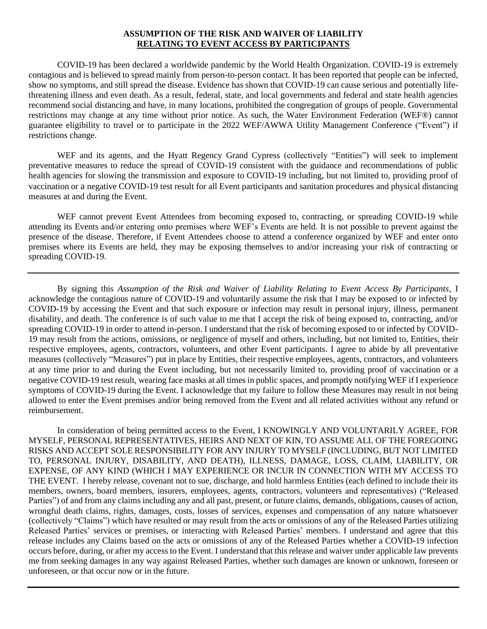## **ASSUMPTION OF THE RISK AND WAIVER OF LIABILITY RELATING TO EVENT ACCESS BY PARTICIPANTS**

COVID-19 has been declared a worldwide pandemic by the World Health Organization. COVID-19 is extremely contagious and is believed to spread mainly from person-to-person contact. It has been reported that people can be infected, show no symptoms, and still spread the disease. Evidence has shown that COVID-19 can cause serious and potentially lifethreatening illness and even death. As a result, federal, state, and local governments and federal and state health agencies recommend social distancing and have, in many locations, prohibited the congregation of groups of people. Governmental restrictions may change at any time without prior notice. As such, the Water Environment Federation (WEF®) cannot guarantee eligibility to travel or to participate in the 2022 WEF/AWWA Utility Management Conference ("Event") if restrictions change.

WEF and its agents, and the Hyatt Regency Grand Cypress (collectively "Entities") will seek to implement preventative measures to reduce the spread of COVID-19 consistent with the guidance and recommendations of public health agencies for slowing the transmission and exposure to COVID-19 including, but not limited to, providing proof of vaccination or a negative COVID-19 test result for all Event participants and sanitation procedures and physical distancing measures at and during the Event.

WEF cannot prevent Event Attendees from becoming exposed to, contracting, or spreading COVID-19 while attending its Events and/or entering onto premises where WEF's Events are held. It is not possible to prevent against the presence of the disease. Therefore, if Event Attendees choose to attend a conference organized by WEF and enter onto premises where its Events are held, they may be exposing themselves to and/or increasing your risk of contracting or spreading COVID-19.

By signing this *Assumption of the Risk and Waiver of Liability Relating to Event Access By Participants*, I acknowledge the contagious nature of COVID-19 and voluntarily assume the risk that I may be exposed to or infected by COVID-19 by accessing the Event and that such exposure or infection may result in personal injury, illness, permanent disability, and death. The conference is of such value to me that I accept the risk of being exposed to, contracting, and/or spreading COVID-19 in order to attend in-person. I understand that the risk of becoming exposed to or infected by COVID-19 may result from the actions, omissions, or negligence of myself and others, including, but not limited to, Entities, their respective employees, agents, contractors, volunteers, and other Event participants. I agree to abide by all preventative measures (collectively "Measures") put in place by Entities, their respective employees, agents, contractors, and volunteers at any time prior to and during the Event including, but not necessarily limited to, providing proof of vaccination or a negative COVID-19 test result, wearing face masks at all times in public spaces, and promptly notifying WEF if I experience symptoms of COVID-19 during the Event. I acknowledge that my failure to follow these Measures may result in not being allowed to enter the Event premises and/or being removed from the Event and all related activities without any refund or reimbursement.

In consideration of being permitted access to the Event, I KNOWINGLY AND VOLUNTARILY AGREE, FOR MYSELF, PERSONAL REPRESENTATIVES, HEIRS AND NEXT OF KIN, TO ASSUME ALL OF THE FOREGOING RISKS AND ACCEPT SOLE RESPONSIBILITY FOR ANY INJURY TO MYSELF (INCLUDING, BUT NOT LIMITED TO, PERSONAL INJURY, DISABILITY, AND DEATH), ILLNESS, DAMAGE, LOSS, CLAIM, LIABILITY, OR EXPENSE, OF ANY KIND (WHICH I MAY EXPERIENCE OR INCUR IN CONNECTION WITH MY ACCESS TO THE EVENT. I hereby release, covenant not to sue, discharge, and hold harmless Entities (each defined to include their its members, owners, board members, insurers, employees, agents, contractors, volunteers and representatives) ("Released Parties") of and from any claims including any and all past, present, or future claims, demands, obligations, causes of action, wrongful death claims, rights, damages, costs, losses of services, expenses and compensation of any nature whatsoever (collectively "Claims") which have resulted or may result from the acts or omissions of any of the Released Parties utilizing Released Parties' services or premises, or interacting with Released Parties' members. I understand and agree that this release includes any Claims based on the acts or omissions of any of the Released Parties whether a COVID-19 infection occurs before, during, or after my access to the Event. I understand that this release and waiver under applicable law prevents me from seeking damages in any way against Released Parties, whether such damages are known or unknown, foreseen or unforeseen, or that occur now or in the future.